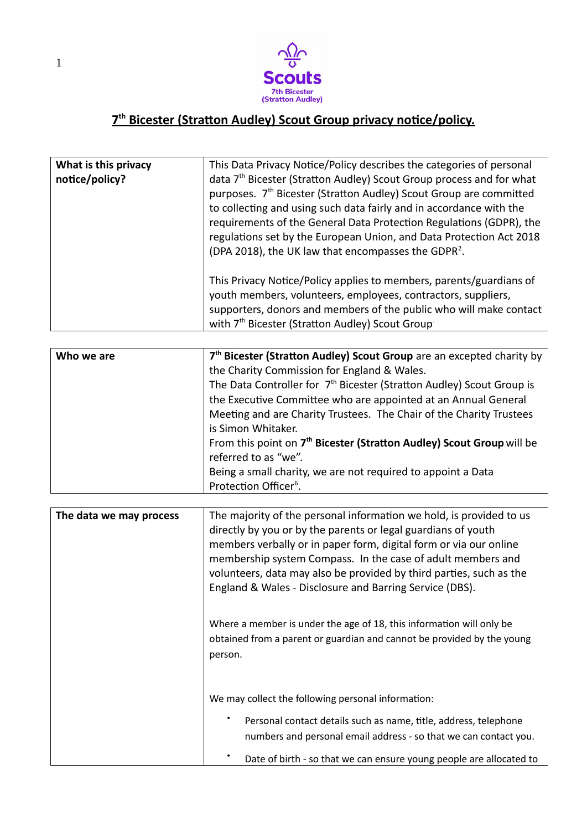

## **7 th Bicester (Stratton Audley) Scout Group privacy notice/policy.**

| What is this privacy<br>notice/policy? | This Data Privacy Notice/Policy describes the categories of personal<br>data 7 <sup>th</sup> Bicester (Stratton Audley) Scout Group process and for what<br>purposes. 7 <sup>th</sup> Bicester (Stratton Audley) Scout Group are committed<br>to collecting and using such data fairly and in accordance with the<br>requirements of the General Data Protection Regulations (GDPR), the<br>regulations set by the European Union, and Data Protection Act 2018<br>(DPA 2018), the UK law that encompasses the GDPR <sup>2</sup> . |
|----------------------------------------|------------------------------------------------------------------------------------------------------------------------------------------------------------------------------------------------------------------------------------------------------------------------------------------------------------------------------------------------------------------------------------------------------------------------------------------------------------------------------------------------------------------------------------|
|                                        | This Privacy Notice/Policy applies to members, parents/guardians of<br>youth members, volunteers, employees, contractors, suppliers,<br>supporters, donors and members of the public who will make contact<br>with 7 <sup>th</sup> Bicester (Stratton Audley) Scout Group                                                                                                                                                                                                                                                          |

| Who we are | 7 <sup>th</sup> Bicester (Stratton Audley) Scout Group are an excepted charity by |
|------------|-----------------------------------------------------------------------------------|
|            | the Charity Commission for England & Wales.                                       |
|            | The Data Controller for 7 <sup>th</sup> Bicester (Stratton Audley) Scout Group is |
|            | the Executive Committee who are appointed at an Annual General                    |
|            | Meeting and are Charity Trustees. The Chair of the Charity Trustees               |
|            | is Simon Whitaker.                                                                |
|            | From this point on 7 <sup>th</sup> Bicester (Stratton Audley) Scout Group will be |
|            | referred to as "we".                                                              |
|            | Being a small charity, we are not required to appoint a Data                      |
|            | Protection Officer <sup>6</sup> .                                                 |

| The data we may process | The majority of the personal information we hold, is provided to us<br>directly by you or by the parents or legal guardians of youth<br>members verbally or in paper form, digital form or via our online<br>membership system Compass. In the case of adult members and<br>volunteers, data may also be provided by third parties, such as the<br>England & Wales - Disclosure and Barring Service (DBS). |
|-------------------------|------------------------------------------------------------------------------------------------------------------------------------------------------------------------------------------------------------------------------------------------------------------------------------------------------------------------------------------------------------------------------------------------------------|
|                         | Where a member is under the age of 18, this information will only be<br>obtained from a parent or guardian and cannot be provided by the young<br>person.                                                                                                                                                                                                                                                  |
|                         | We may collect the following personal information:<br>Personal contact details such as name, title, address, telephone<br>numbers and personal email address - so that we can contact you.                                                                                                                                                                                                                 |
|                         | Date of birth - so that we can ensure young people are allocated to                                                                                                                                                                                                                                                                                                                                        |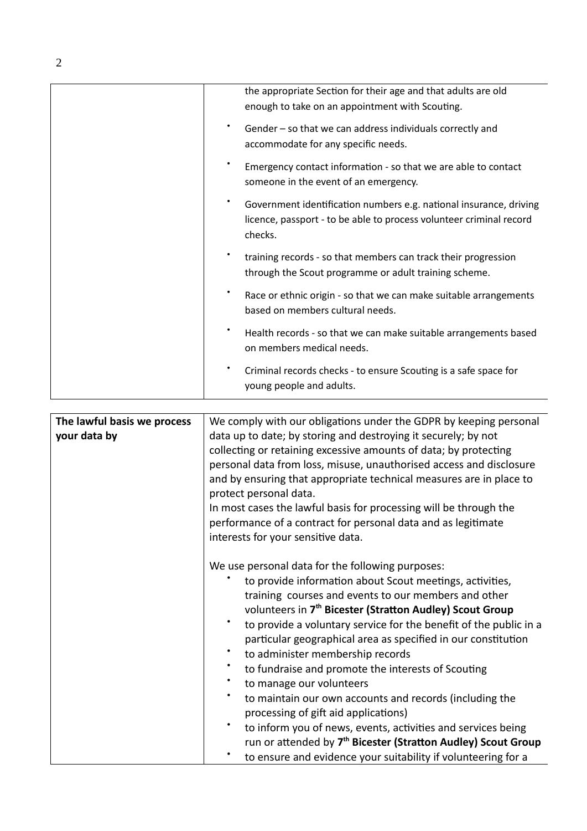|                                             | the appropriate Section for their age and that adults are old<br>enough to take on an appointment with Scouting.                                                                                                                                                                                                                                                                                                                                                                                                                                                                                            |
|---------------------------------------------|-------------------------------------------------------------------------------------------------------------------------------------------------------------------------------------------------------------------------------------------------------------------------------------------------------------------------------------------------------------------------------------------------------------------------------------------------------------------------------------------------------------------------------------------------------------------------------------------------------------|
|                                             | Gender - so that we can address individuals correctly and<br>accommodate for any specific needs.                                                                                                                                                                                                                                                                                                                                                                                                                                                                                                            |
|                                             | Emergency contact information - so that we are able to contact<br>someone in the event of an emergency.                                                                                                                                                                                                                                                                                                                                                                                                                                                                                                     |
|                                             | Government identification numbers e.g. national insurance, driving<br>licence, passport - to be able to process volunteer criminal record<br>checks.                                                                                                                                                                                                                                                                                                                                                                                                                                                        |
|                                             | training records - so that members can track their progression<br>through the Scout programme or adult training scheme.                                                                                                                                                                                                                                                                                                                                                                                                                                                                                     |
|                                             | Race or ethnic origin - so that we can make suitable arrangements<br>based on members cultural needs.                                                                                                                                                                                                                                                                                                                                                                                                                                                                                                       |
|                                             | Health records - so that we can make suitable arrangements based<br>on members medical needs.                                                                                                                                                                                                                                                                                                                                                                                                                                                                                                               |
|                                             | Criminal records checks - to ensure Scouting is a safe space for<br>young people and adults.                                                                                                                                                                                                                                                                                                                                                                                                                                                                                                                |
|                                             |                                                                                                                                                                                                                                                                                                                                                                                                                                                                                                                                                                                                             |
| The lawful basis we process<br>your data by | We comply with our obligations under the GDPR by keeping personal<br>data up to date; by storing and destroying it securely; by not<br>collecting or retaining excessive amounts of data; by protecting<br>personal data from loss, misuse, unauthorised access and disclosure<br>and by ensuring that appropriate technical measures are in place to<br>protect personal data.<br>In most cases the lawful basis for processing will be through the<br>performance of a contract for personal data and as legitimate<br>interests for your sensitive data.                                                 |
|                                             | We use personal data for the following purposes:<br>to provide information about Scout meetings, activities,<br>training courses and events to our members and other<br>volunteers in 7 <sup>th</sup> Bicester (Stratton Audley) Scout Group<br>to provide a voluntary service for the benefit of the public in a<br>particular geographical area as specified in our constitution<br>to administer membership records<br>to fundraise and promote the interests of Scouting<br>to manage our volunteers<br>to maintain our own accounts and records (including the<br>processing of gift aid applications) |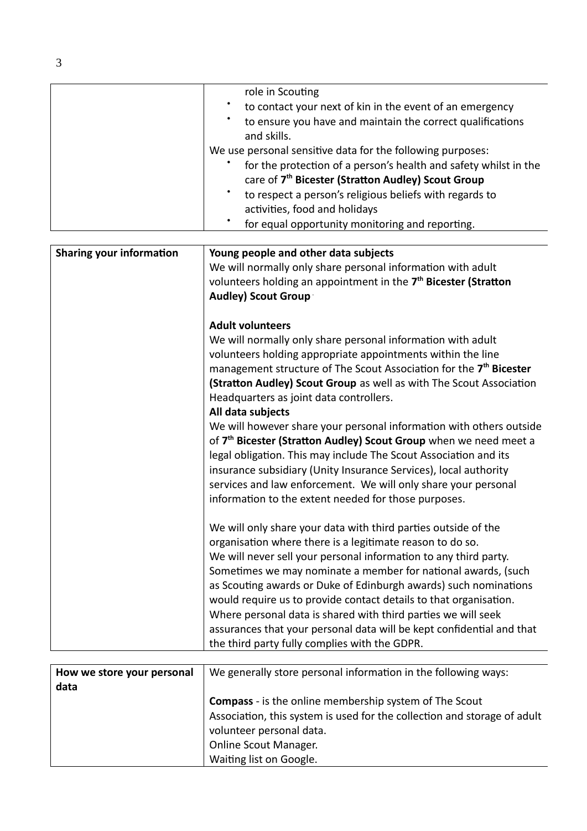| role in Scouting                                                      |
|-----------------------------------------------------------------------|
| $\bullet$<br>to contact your next of kin in the event of an emergency |
| to ensure you have and maintain the correct qualifications            |
| and skills.                                                           |
| We use personal sensitive data for the following purposes:            |
| for the protection of a person's health and safety whilst in the      |
| care of 7 <sup>th</sup> Bicester (Stratton Audley) Scout Group        |
| to respect a person's religious beliefs with regards to               |
| activities, food and holidays                                         |
| for equal opportunity monitoring and reporting.                       |

| <b>Sharing your information</b> | Young people and other data subjects<br>We will normally only share personal information with adult<br>volunteers holding an appointment in the 7 <sup>th</sup> Bicester (Stratton<br><b>Audley) Scout Group</b>                                                                                                                                                                                                                                                                                                                                                                                     |
|---------------------------------|------------------------------------------------------------------------------------------------------------------------------------------------------------------------------------------------------------------------------------------------------------------------------------------------------------------------------------------------------------------------------------------------------------------------------------------------------------------------------------------------------------------------------------------------------------------------------------------------------|
|                                 | <b>Adult volunteers</b><br>We will normally only share personal information with adult<br>volunteers holding appropriate appointments within the line<br>management structure of The Scout Association for the 7 <sup>th</sup> Bicester<br>(Stratton Audley) Scout Group as well as with The Scout Association<br>Headquarters as joint data controllers.<br>All data subjects                                                                                                                                                                                                                       |
|                                 | We will however share your personal information with others outside<br>of 7 <sup>th</sup> Bicester (Stratton Audley) Scout Group when we need meet a<br>legal obligation. This may include The Scout Association and its<br>insurance subsidiary (Unity Insurance Services), local authority<br>services and law enforcement. We will only share your personal<br>information to the extent needed for those purposes.                                                                                                                                                                               |
|                                 | We will only share your data with third parties outside of the<br>organisation where there is a legitimate reason to do so.<br>We will never sell your personal information to any third party.<br>Sometimes we may nominate a member for national awards, (such<br>as Scouting awards or Duke of Edinburgh awards) such nominations<br>would require us to provide contact details to that organisation.<br>Where personal data is shared with third parties we will seek<br>assurances that your personal data will be kept confidential and that<br>the third party fully complies with the GDPR. |

| How we store your personal | We generally store personal information in the following ways:           |
|----------------------------|--------------------------------------------------------------------------|
| data                       |                                                                          |
|                            | <b>Compass</b> - is the online membership system of The Scout            |
|                            | Association, this system is used for the collection and storage of adult |
|                            | volunteer personal data.                                                 |
|                            | <b>Online Scout Manager.</b>                                             |
|                            | Waiting list on Google.                                                  |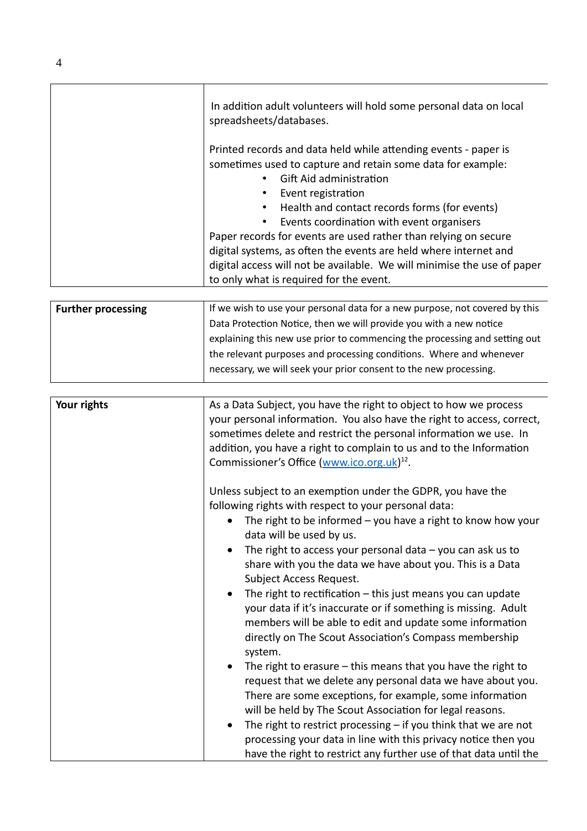| In addition adult volunteers will hold some personal data on local<br>spreadsheets/databases.                                                                                                                                                                                                                                                                                                                                                                                                                                              |
|--------------------------------------------------------------------------------------------------------------------------------------------------------------------------------------------------------------------------------------------------------------------------------------------------------------------------------------------------------------------------------------------------------------------------------------------------------------------------------------------------------------------------------------------|
| Printed records and data held while attending events - paper is<br>sometimes used to capture and retain some data for example:<br>Gift Aid administration<br>Event registration<br>Health and contact records forms (for events)<br>Events coordination with event organisers<br>Paper records for events are used rather than relying on secure<br>digital systems, as often the events are held where internet and<br>digital access will not be available. We will minimise the use of paper<br>to only what is required for the event. |

| <b>Further processing</b> | If we wish to use your personal data for a new purpose, not covered by this |
|---------------------------|-----------------------------------------------------------------------------|
|                           | Data Protection Notice, then we will provide you with a new notice          |
|                           | explaining this new use prior to commencing the processing and setting out  |
|                           | the relevant purposes and processing conditions. Where and whenever         |
|                           | necessary, we will seek your prior consent to the new processing.           |
|                           |                                                                             |

| Your rights | As a Data Subject, you have the right to object to how we process<br>your personal information. You also have the right to access, correct,<br>sometimes delete and restrict the personal information we use. In<br>addition, you have a right to complain to us and to the Information<br>Commissioner's Office (www.ico.org.uk) <sup>12</sup> .                                                                                                                                                                                                                                                                                             |
|-------------|-----------------------------------------------------------------------------------------------------------------------------------------------------------------------------------------------------------------------------------------------------------------------------------------------------------------------------------------------------------------------------------------------------------------------------------------------------------------------------------------------------------------------------------------------------------------------------------------------------------------------------------------------|
|             | Unless subject to an exemption under the GDPR, you have the<br>following rights with respect to your personal data:<br>The right to be informed $-$ you have a right to know how your<br>data will be used by us.<br>The right to access your personal data $-$ you can ask us to<br>share with you the data we have about you. This is a Data<br>Subject Access Request.<br>The right to rectification $-$ this just means you can update<br>your data if it's inaccurate or if something is missing. Adult<br>members will be able to edit and update some information<br>directly on The Scout Association's Compass membership<br>system. |
|             | The right to erasure $-$ this means that you have the right to<br>request that we delete any personal data we have about you.<br>There are some exceptions, for example, some information<br>will be held by The Scout Association for legal reasons.<br>The right to restrict processing $-$ if you think that we are not<br>$\bullet$<br>processing your data in line with this privacy notice then you<br>have the right to restrict any further use of that data until the                                                                                                                                                                |